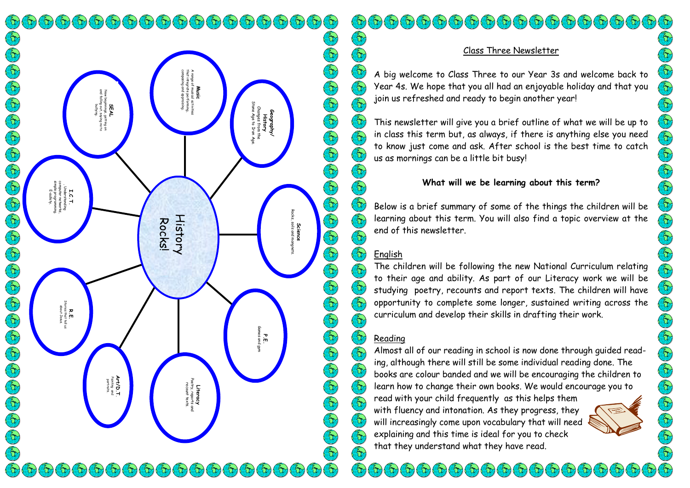$\left( \begin{smallmatrix} 0 \\ 0 \end{smallmatrix} \right) \left( \begin{smallmatrix} 0 \\ 0 \end{smallmatrix} \right) \left( \begin{smallmatrix} 0 \\ 0 \end{smallmatrix} \right) \left( \begin{smallmatrix} 0 \\ 0 \end{smallmatrix} \right) \left( \begin{smallmatrix} 0 \\ 0 \end{smallmatrix} \right) \left( \begin{smallmatrix} 0 \\ 0 \end{smallmatrix} \right) \left( \begin{smallmatrix} 0 \\ 0 \end{smallmatrix} \right) \left( \begin{smallmatrix} 0 \\ 0 \end{smallmatrix} \right) \left( \begin{smallmatrix} 0 \\ 0 \end{smallmatrix} \right) \left( \begin{smallmatrix} 0 \\$ Contains to the contains to the contain composing and appraising. that integrate performing, A range of musical activities **Music** and falling out, saying no to New beginnings, getting on **SEAL** Stone Age to Iron Age. bullying. Changes from the **Geography/ History** simple programming. computer networks, , Understanding E-safety. **I.C.T.** Rocks, soils and mangnets. History E Rocks! **Science**<br>soils and mc Cap Cap Stories that tell us **R.E.**<br>ories that tell<br>dbout Jesus. about Jesus.P.E.<br>Games and Games and gym **Art/D.T**. portraits. Painting and Poetry, reports and recount texts. **Literacy**  $\mathcal{F}_{\alpha}(\mathcal{F}_{\alpha})$   $\mathcal{F}_{\alpha}(\mathcal{F}_{\alpha})$  $\mathcal{F}_{\mathcal{D}}(\mathcal{D}(\mathcal{D}(\mathcal{D}(\mathcal{D}(\mathcal{D}(\mathcal{D}(\mathcal{D}(\mathcal{D}(\mathcal{D}(\mathcal{D}(\mathcal{D}(\mathcal{D}(\mathcal{D}(\mathcal{D}(\mathcal{D}(\mathcal{D}(\mathcal{D}(\mathcal{D}(\mathcal{D}(\mathcal{D}(\mathcal{D}(\mathcal{D}(\mathcal{D}(\mathcal{D}(\mathcal{D}(\mathcal{D}(\mathcal{D}(\mathcal{D}(\mathcal{D}(\mathcal{D}(\mathcal{D}(\mathcal{D}(\mathcal{D}(\mathcal{D}(\mathcal{$  $\mathbb{C}^{\mathcal{N}}$ i Or

# Class Three Newsletter

A big welcome to Class Three to our Year 3s and welcome back to Year 4s. We hope that you all had an enjoyable holiday and that you join us refreshed and ready to begin another year!

This newsletter will give you a brief outline of what we will be up to in class this term but, as always, if there is anything else you need to know just come and ask. After school is the best time to catch us as mornings can be a little bit busy!

# **What will we be learning about this term?**

Below is a brief summary of some of the things the children will be learning about this term. You will also find a topic overview at the end of this newsletter.

# English

Er)

E

 $\left(\begin{matrix} 2 \\ 1 \end{matrix}\right)$ 

 $\mathbb{Z}$ 

 $\left(\begin{matrix} 2 \\ 1 \end{matrix}\right)$ 

 $\bigl(\begin{smallmatrix} 2 \ 1 \end{smallmatrix}\bigr)$ 

E

En Car

E

Str.

 $\mathfrak{F}$ 

 $\bigcirc$ 

E

 $\left(\begin{matrix} 2 \ 1 \end{matrix}\right)$ 

Far,

 $(\epsilon)$ 

 $\left(\begin{matrix} \epsilon_1 \\ \epsilon_2 \end{matrix}\right)$ 

 $\Theta$  $\left(\begin{matrix} 2 \\ 1 \end{matrix}\right)$  $\left(\begin{matrix} \epsilon_1 \\ \epsilon_2 \end{matrix}\right)$ 

 $\left(\begin{matrix} \epsilon_1 \\ 0 \end{matrix}\right)$  $\left(\begin{smallmatrix} 2\\ 1\end{smallmatrix}\right)$ (ED)

 $\mathfrak{F}(\mathfrak{g})$ 

The children will be following the new National Curriculum relating to their age and ability. As part of our Literacy work we will be studying poetry, recounts and report texts. The children will have opportunity to complete some longer, sustained writing across the curriculum and develop their skills in drafting their work.

#### $\mathcal{E}$ Reading

Almost all of our reading in school is now done through guided reading, although there will still be some individual reading done. The books are colour banded and we will be encouraging the children to learn how to change their own books. We would encourage you to

read with your child frequently as this helps them with fluency and intonation. As they progress, they will increasingly come upon vocabulary that will need explaining and this time is ideal for you to check that they understand what they have read.

 $(\omega(\omega)(\omega)(\omega)(\omega)(\omega)(\omega)(\omega)(\omega)(\omega)$